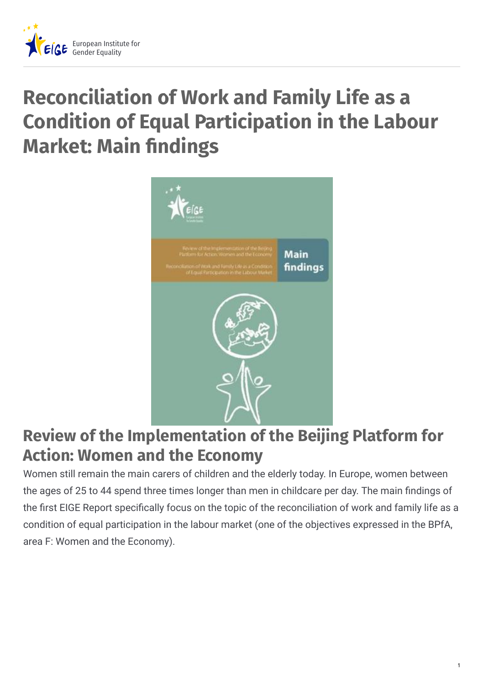

# **Reconciliation of Work and Family Life as a Condition of Equal Participation in the Labour Market: Main findings**



## **Review of the Implementation of the Beijing Platform for Action: Women and the Economy**

Women still remain the main carers of children and the elderly today. In Europe, women between the ages of 25 to 44 spend three times longer than men in childcare per day. The main findings of the first EIGE Report specifically focus on the topic of the reconciliation of work and family life as a condition of equal participation in the labour market (one of the objectives expressed in the BPfA, area F: Women and the Economy).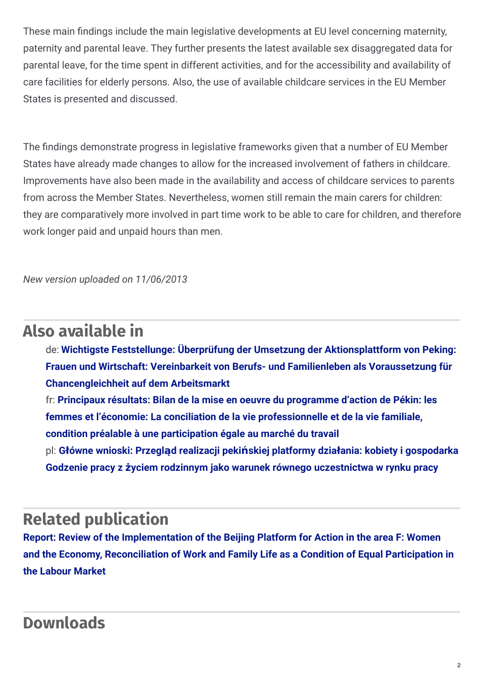These main findings include the main legislative developments at EU level concerning maternity, paternity and parental leave. They further presents the latest available sex disaggregated data for parental leave, for the time spent in different activities, and for the accessibility and availability of care facilities for elderly persons. Also, the use of available childcare services in the EU Member States is presented and discussed.

The findings demonstrate progress in legislative frameworks given that a number of EU Member States have already made changes to allow for the increased involvement of fathers in childcare. Improvements have also been made in the availability and access of childcare services to parents from across the Member States. Nevertheless, women still remain the main carers for children: they are comparatively more involved in part time work to be able to care for children, and therefore work longer paid and unpaid hours than men.

*New version uploaded on 11/06/2013*

#### **Also available in**

de: **Wichtigste Feststellunge: Überprüfung der Umsetzung der Aktionsplattform von Peking: Frauen und Wirtschaft: Vereinbarkeit von Berufs- und Familienleben als Voraussetzung für [Chancengleichheit](http://www.eige.europa.eu/node/2305) auf dem Arbeitsmarkt**

fr: **Principaux résultats: Bilan de la mise en oeuvre du programme d'action de Pékin: les femmes et l'économie: La conciliation de la vie [professionnelle](http://www.eige.europa.eu/node/2306) et de la vie familiale, condition préalable à une participation égale au marché du travail** pl: **Główne wnioski: Przegląd realizacji pekińskiej platformy działania: kobiety i gospodarka Godzenie pracy z życiem rodzinnym jako warunek równego [uczestnictwa](http://www.eige.europa.eu/node/1324) w rynku pracy**

### **Related publication**

**Report: Review of the [Implementation](http://www.eige.europa.eu/content/document/report-review-of-the-implementation-of-the-bpfa-in-the-area-f-women-economy-reconciliation) of the Beijing Platform for Action in the area F: Women and the Economy, Reconciliation of Work and Family Life as a Condition of Equal Participation in the Labour Market**

#### **Downloads**